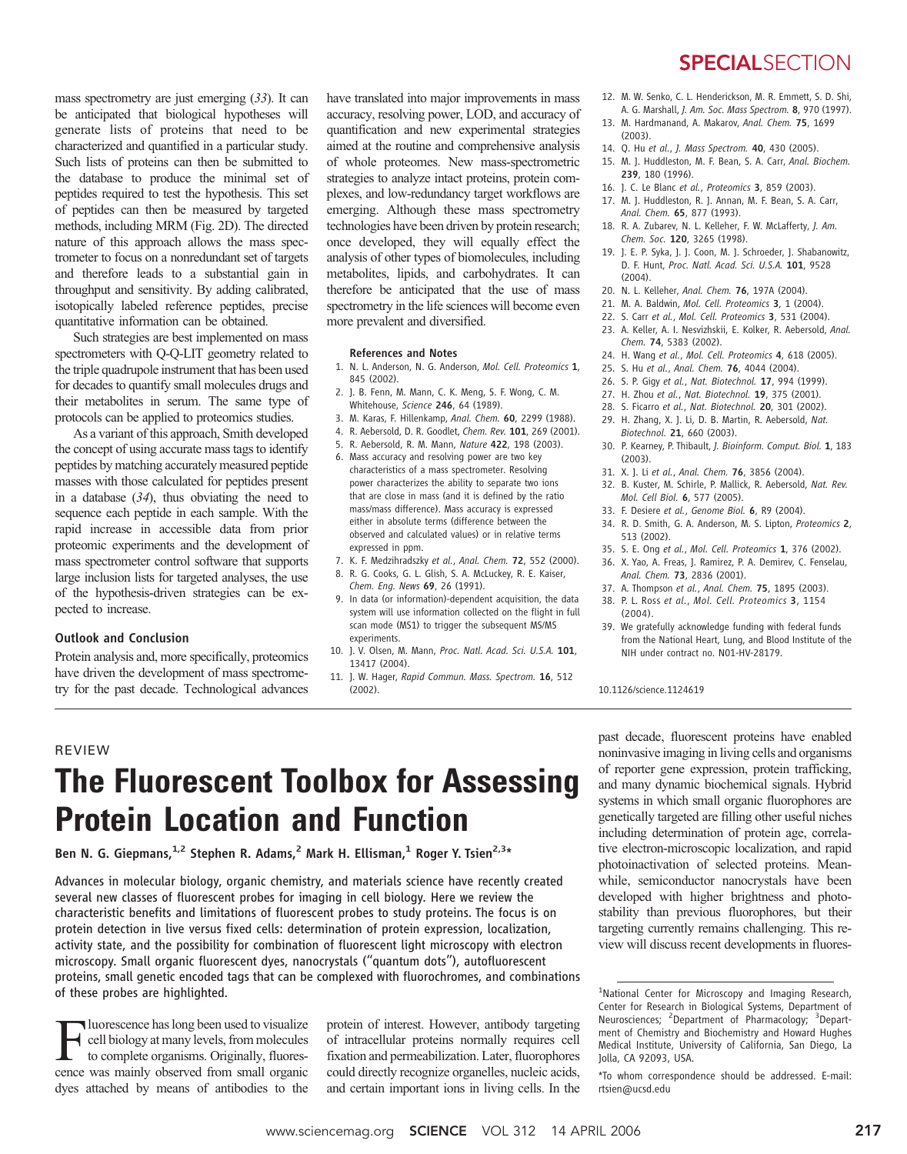mass spectrometry are just emerging (33). It can be anticipated that biological hypotheses will generate lists of proteins that need to be characterized and quantified in a particular study. Such lists of proteins can then be submitted to the database to produce the minimal set of peptides required to test the hypothesis. This set of peptides can then be measured by targeted methods, including MRM (Fig. 2D). The directed nature of this approach allows the mass spectrometer to focus on a nonredundant set of targets and therefore leads to a substantial gain in throughput and sensitivity. By adding calibrated, isotopically labeled reference peptides, precise quantitative information can be obtained.

Such strategies are best implemented on mass spectrometers with Q-Q-LIT geometry related to the triple quadrupole instrument that has been used for decades to quantify small molecules drugs and their metabolites in serum. The same type of protocols can be applied to proteomics studies.

As a variant of this approach, Smith developed the concept of using accurate mass tags to identify peptides by matching accurately measured peptide masses with those calculated for peptides present in a database  $(34)$ , thus obviating the need to sequence each peptide in each sample. With the rapid increase in accessible data from prior proteomic experiments and the development of mass spectrometer control software that supports large inclusion lists for targeted analyses, the use of the hypothesis-driven strategies can be expected to increase.

### Outlook and Conclusion

Protein analysis and, more specifically, proteomics have driven the development of mass spectrometry for the past decade. Technological advances have translated into major improvements in mass accuracy, resolving power, LOD, and accuracy of quantification and new experimental strategies aimed at the routine and comprehensive analysis of whole proteomes. New mass-spectrometric strategies to analyze intact proteins, protein complexes, and low-redundancy target workflows are emerging. Although these mass spectrometry technologies have been driven by protein research; once developed, they will equally effect the analysis of other types of biomolecules, including metabolites, lipids, and carbohydrates. It can therefore be anticipated that the use of mass spectrometry in the life sciences will become even more prevalent and diversified.

#### References and Notes

- 1. N. L. Anderson, N. G. Anderson, Mol. Cell. Proteomics 1, 845 (2002).
- 2. J. B. Fenn, M. Mann, C. K. Meng, S. F. Wong, C. M. Whitehouse, Science 246, 64 (1989).
- 3. M. Karas, F. Hillenkamp, Anal. Chem. 60, 2299 (1988).
- 4. R. Aebersold, D. R. Goodlet, Chem. Rev. 101, 269 (2001).
- 5. R. Aebersold, R. M. Mann, Nature 422, 198 (2003).
- 6. Mass accuracy and resolving power are two key characteristics of a mass spectrometer. Resolving power characterizes the ability to separate two ions that are close in mass (and it is defined by the ratio mass/mass difference). Mass accuracy is expressed either in absolute terms (difference between the observed and calculated values) or in relative terms expressed in ppm.
- 7. K. F. Medzihradszky et al., Anal. Chem. 72, 552 (2000).
- 8. R. G. Cooks, G. L. Glish, S. A. McLuckey, R. E. Kaiser, Chem. Eng. News 69, 26 (1991).
- 9. In data (or information)-dependent acquisition, the data system will use information collected on the flight in full scan mode (MS1) to trigger the subsequent MS/MS experiments.
- 10. I. V. Olsen, M. Mann, Proc. Natl. Acad. Sci. U.S.A. 101. 13417 (2004).
- 11. J. W. Hager, Rapid Commun. Mass. Spectrom. 16, 512 (2002).

# **SPECIAL** SECTION

- 12. M. W. Senko, C. L. Henderickson, M. R. Emmett, S. D. Shi, A. G. Marshall, J. Am. Soc. Mass Spectrom. 8, 970 (1997).
- 13. M. Hardmanand, A. Makarov, Anal. Chem. 75, 1699 (2003).
- 14. Q. Hu et al., J. Mass Spectrom. 40, 430 (2005).
- 15. M. J. Huddleston, M. F. Bean, S. A. Carr, Anal. Biochem. 239, 180 (1996).
- 16. J. C. Le Blanc et al., Proteomics 3, 859 (2003). 17. M. J. Huddleston, R. J. Annan, M. F. Bean, S. A. Carr, Anal. Chem. 65, 877 (1993).
- 18. R. A. Zubarev, N. L. Kelleher, F. W. McLafferty, J. Am. Chem. Soc. 120, 3265 (1998).
- 19. J. E. P. Syka, J. J. Coon, M. J. Schroeder, J. Shabanowitz, D. F. Hunt, Proc. Natl. Acad. Sci. U.S.A. 101, 9528 (2004).
- 20. N. L. Kelleher, Anal. Chem. 76, 197A (2004).
- 21. M. A. Baldwin, Mol. Cell. Proteomics 3, 1 (2004).
- 22. S. Carr et al., Mol. Cell. Proteomics 3, 531 (2004).
- 23. A. Keller, A. I. Nesvizhskii, E. Kolker, R. Aebersold, Anal. Chem. 74, 5383 (2002).
- 24. H. Wang et al., Mol. Cell. Proteomics 4, 618 (2005).
- 25. S. Hu et al., Anal. Chem. 76, 4044 (2004).
- 26. S. P. Gigy et al., Nat. Biotechnol. 17, 994 (1999).
- 27. H. Zhou et al., Nat. Biotechnol. **19**, 375 (2001).
- 28. S. Ficarro et al., Nat. Biotechnol. 20, 301 (2002). 29. H. Zhang, X. J. Li, D. B. Martin, R. Aebersold, Nat. Biotechnol. 21, 660 (2003).
- 30. P. Kearney, P. Thibault, J. Bioinform. Comput. Biol. 1, 183 (2003).
- 31. X. J. Li et al., Anal. Chem. 76, 3856 (2004).
- 32. B. Kuster, M. Schirle, P. Mallick, R. Aebersold, Nat. Rev. Mol. Cell Biol. 6, 577 (2005). 33. F. Desiere et al., Genome Biol. 6, R9 (2004).
- 34. R. D. Smith, G. A. Anderson, M. S. Lipton, Proteomics 2,
- 513 (2002).
- 35. S. E. Ong et al., Mol. Cell. Proteomics 1, 376 (2002).
- 36. X. Yao, A. Freas, J. Ramirez, P. A. Demirev, C. Fenselau, Anal. Chem. 73, 2836 (2001).
- 37. A. Thompson et al., Anal. Chem. 75, 1895 (2003).
- 38. P. L. Ross et al., Mol. Cell. Proteomics 3, 1154  $(2004)$
- 39. We gratefully acknowledge funding with federal funds from the National Heart, Lung, and Blood Institute of the NIH under contract no. N01-HV-28179.

10.1126/science.1124619

# REVIEW

# The Fluorescent Toolbox for Assessing Protein Location and Function

Ben N. G. Giepmans,  $1,2$  Stephen R. Adams, <sup>2</sup> Mark H. Ellisman, <sup>1</sup> Roger Y. Tsien<sup>2,3\*</sup>

Advances in molecular biology, organic chemistry, and materials science have recently created several new classes of fluorescent probes for imaging in cell biology. Here we review the characteristic benefits and limitations of fluorescent probes to study proteins. The focus is on protein detection in live versus fixed cells: determination of protein expression, localization, activity state, and the possibility for combination of fluorescent light microscopy with electron microscopy. Small organic fluorescent dyes, nanocrystals (''quantum dots''), autofluorescent proteins, small genetic encoded tags that can be complexed with fluorochromes, and combinations of these probes are highlighted.

Fluorescence has long been used to visualize<br>to complete organisms. Originally, fluores-<br>cence was mainly observed from small organic cell biology at many levels, from molecules cence was mainly observed from small organic dyes attached by means of antibodies to the

protein of interest. However, antibody targeting of intracellular proteins normally requires cell fixation and permeabilization. Later, fluorophores could directly recognize organelles, nucleic acids, and certain important ions in living cells. In the past decade, fluorescent proteins have enabled noninvasive imaging in living cells and organisms of reporter gene expression, protein trafficking, and many dynamic biochemical signals. Hybrid systems in which small organic fluorophores are genetically targeted are filling other useful niches including determination of protein age, correlative electron-microscopic localization, and rapid photoinactivation of selected proteins. Meanwhile, semiconductor nanocrystals have been developed with higher brightness and photostability than previous fluorophores, but their targeting currently remains challenging. This review will discuss recent developments in fluores-

<sup>&</sup>lt;sup>1</sup>National Center for Microscopy and Imaging Research, Center for Research in Biological Systems, Department of Neurosciences; <sup>2</sup>Department of Pharmacology; <sup>3</sup>Department of Chemistry and Biochemistry and Howard Hughes Medical Institute, University of California, San Diego, La Jolla, CA 92093, USA.

<sup>\*</sup>To whom correspondence should be addressed. E-mail: rtsien@ucsd.edu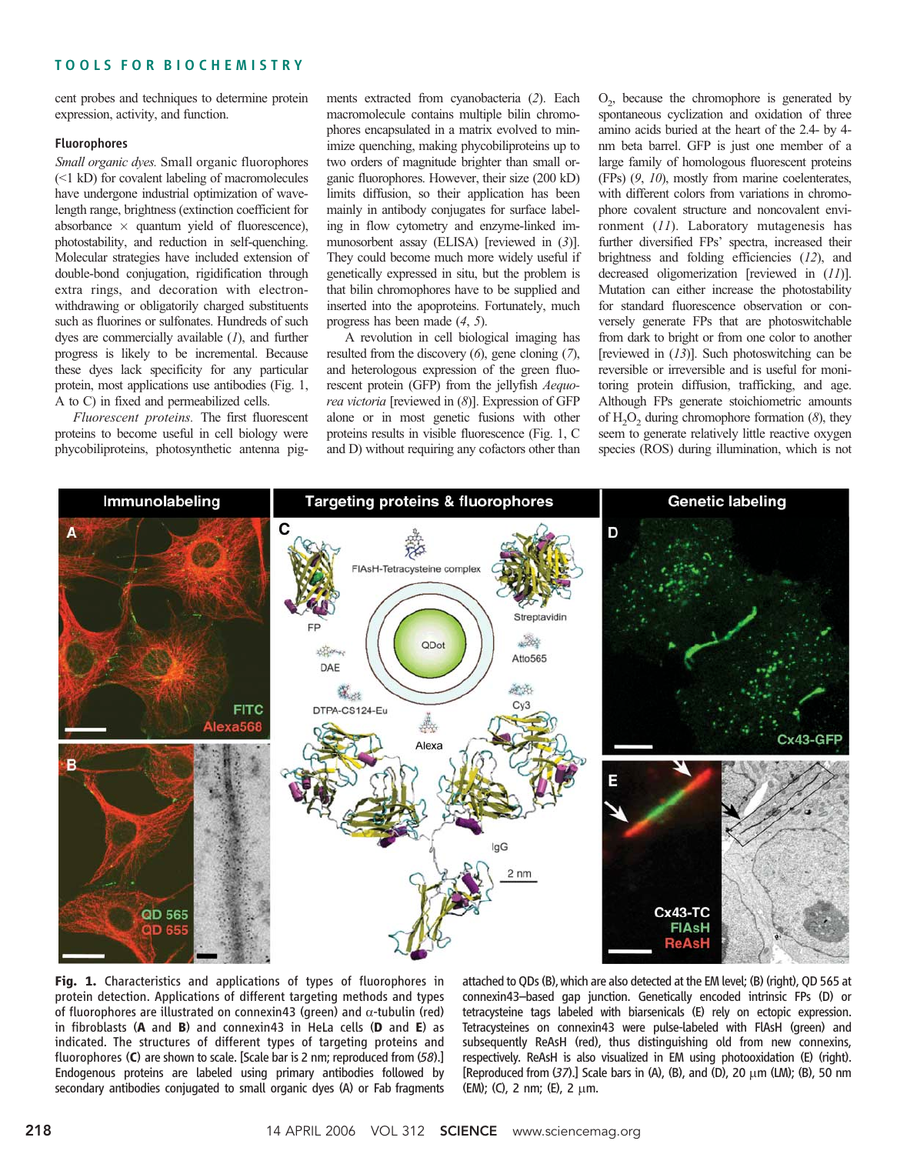cent probes and techniques to determine protein expression, activity, and function.

# Fluorophores

Small organic dyes. Small organic fluorophores  $(<1$  kD) for covalent labeling of macromolecules have undergone industrial optimization of wavelength range, brightness (extinction coefficient for absorbance  $\times$  quantum yield of fluorescence), photostability, and reduction in self-quenching. Molecular strategies have included extension of double-bond conjugation, rigidification through extra rings, and decoration with electronwithdrawing or obligatorily charged substituents such as fluorines or sulfonates. Hundreds of such dyes are commercially available  $(1)$ , and further progress is likely to be incremental. Because these dyes lack specificity for any particular protein, most applications use antibodies (Fig. 1, A to C) in fixed and permeabilized cells.

Fluorescent proteins. The first fluorescent proteins to become useful in cell biology were phycobiliproteins, photosynthetic antenna pigments extracted from cyanobacteria (2). Each macromolecule contains multiple bilin chromophores encapsulated in a matrix evolved to minimize quenching, making phycobiliproteins up to two orders of magnitude brighter than small organic fluorophores. However, their size (200 kD) limits diffusion, so their application has been mainly in antibody conjugates for surface labeling in flow cytometry and enzyme-linked immunosorbent assay (ELISA) [reviewed in (3)]. They could become much more widely useful if genetically expressed in situ, but the problem is that bilin chromophores have to be supplied and inserted into the apoproteins. Fortunately, much progress has been made (4, 5).

A revolution in cell biological imaging has resulted from the discovery  $(6)$ , gene cloning  $(7)$ , and heterologous expression of the green fluorescent protein (GFP) from the jellyfish Aequorea victoria [reviewed in (8)]. Expression of GFP alone or in most genetic fusions with other proteins results in visible fluorescence (Fig. 1, C and D) without requiring any cofactors other than

 $O_2$ , because the chromophore is generated by spontaneous cyclization and oxidation of three amino acids buried at the heart of the 2.4- by 4 nm beta barrel. GFP is just one member of a large family of homologous fluorescent proteins (FPs) (9, 10), mostly from marine coelenterates, with different colors from variations in chromophore covalent structure and noncovalent environment (11). Laboratory mutagenesis has further diversified FPs' spectra, increased their brightness and folding efficiencies (12), and decreased oligomerization [reviewed in  $(11)$ ]. Mutation can either increase the photostability for standard fluorescence observation or conversely generate FPs that are photoswitchable from dark to bright or from one color to another [reviewed in  $(13)$ ]. Such photoswitching can be reversible or irreversible and is useful for monitoring protein diffusion, trafficking, and age. Although FPs generate stoichiometric amounts of  $H_2O_2$  during chromophore formation (8), they seem to generate relatively little reactive oxygen species (ROS) during illumination, which is not



Fig. 1. Characteristics and applications of types of fluorophores in protein detection. Applications of different targeting methods and types of fluorophores are illustrated on connexin43 (green) and  $\alpha$ -tubulin (red) in fibroblasts ( $A$  and  $B$ ) and connexin43 in HeLa cells ( $D$  and  $E$ ) as indicated. The structures of different types of targeting proteins and fluorophores (C) are shown to scale. [Scale bar is 2 nm; reproduced from (58).] Endogenous proteins are labeled using primary antibodies followed by secondary antibodies conjugated to small organic dyes (A) or Fab fragments

attached to QDs (B), which are also detected at the EM level; (B) (right), QD 565 at connexin43–based gap junction. Genetically encoded intrinsic FPs (D) or tetracysteine tags labeled with biarsenicals (E) rely on ectopic expression. Tetracysteines on connexin43 were pulse-labeled with FlAsH (green) and subsequently ReAsH (red), thus distinguishing old from new connexins, respectively. ReAsH is also visualized in EM using photooxidation (E) (right). [Reproduced from  $(37)$ .] Scale bars in  $(A)$ ,  $(B)$ , and  $(D)$ , 20  $\mu$ m  $(LM)$ ;  $(B)$ , 50 nm  $(EM)$ ; (C), 2 nm; (E), 2  $µm$ .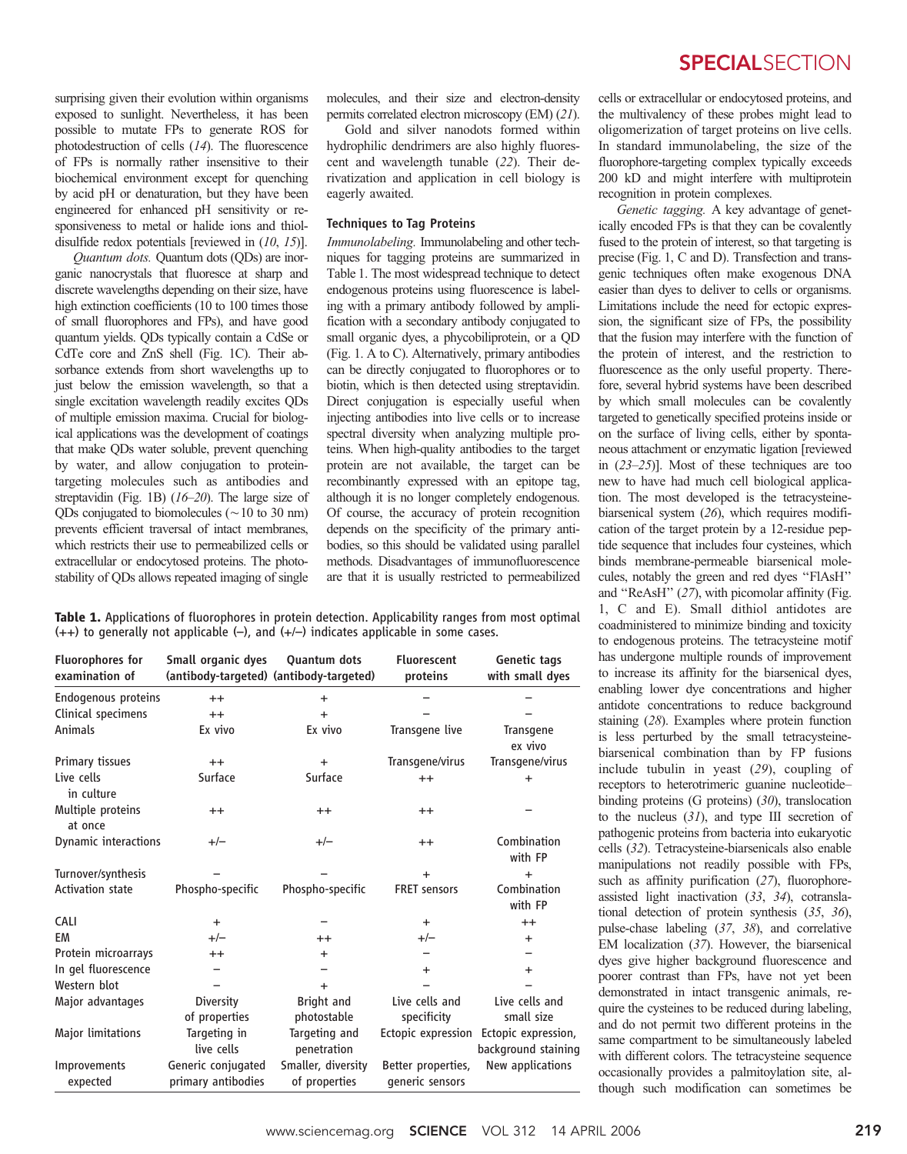surprising given their evolution within organisms exposed to sunlight. Nevertheless, it has been possible to mutate FPs to generate ROS for photodestruction of cells (14). The fluorescence of FPs is normally rather insensitive to their biochemical environment except for quenching by acid pH or denaturation, but they have been engineered for enhanced pH sensitivity or responsiveness to metal or halide ions and thioldisulfide redox potentials [reviewed in (10, 15)].

Quantum dots. Quantum dots (QDs) are inorganic nanocrystals that fluoresce at sharp and discrete wavelengths depending on their size, have high extinction coefficients (10 to 100 times those of small fluorophores and FPs), and have good quantum yields. QDs typically contain a CdSe or CdTe core and ZnS shell (Fig. 1C). Their absorbance extends from short wavelengths up to just below the emission wavelength, so that a single excitation wavelength readily excites QDs of multiple emission maxima. Crucial for biological applications was the development of coatings that make QDs water soluble, prevent quenching by water, and allow conjugation to proteintargeting molecules such as antibodies and streptavidin (Fig. 1B) (16–20). The large size of ODs conjugated to biomolecules ( $\sim$ 10 to 30 nm) prevents efficient traversal of intact membranes, which restricts their use to permeabilized cells or extracellular or endocytosed proteins. The photostability of QDs allows repeated imaging of single

molecules, and their size and electron-density permits correlated electron microscopy (EM) (21).

Gold and silver nanodots formed within hydrophilic dendrimers are also highly fluorescent and wavelength tunable (22). Their derivatization and application in cell biology is eagerly awaited.

# Techniques to Tag Proteins

Immunolabeling. Immunolabeling and other techniques for tagging proteins are summarized in Table 1. The most widespread technique to detect endogenous proteins using fluorescence is labeling with a primary antibody followed by amplification with a secondary antibody conjugated to small organic dyes, a phycobiliprotein, or a QD (Fig. 1. A to C). Alternatively, primary antibodies can be directly conjugated to fluorophores or to biotin, which is then detected using streptavidin. Direct conjugation is especially useful when injecting antibodies into live cells or to increase spectral diversity when analyzing multiple proteins. When high-quality antibodies to the target protein are not available, the target can be recombinantly expressed with an epitope tag, although it is no longer completely endogenous. Of course, the accuracy of protein recognition depends on the specificity of the primary antibodies, so this should be validated using parallel methods. Disadvantages of immunofluorescence are that it is usually restricted to permeabilized

Table 1. Applications of fluorophores in protein detection. Applicability ranges from most optimal  $(++)$  to generally not applicable  $(-)$ , and  $(+/-)$  indicates applicable in some cases.

| <b>Fluorophores for</b><br>examination of | Small organic dyes                       | Quantum dots<br>(antibody-targeted) (antibody-targeted) | <b>Fluorescent</b><br>proteins        | Genetic tags<br>with small dyes            |
|-------------------------------------------|------------------------------------------|---------------------------------------------------------|---------------------------------------|--------------------------------------------|
| Endogenous proteins                       | $^{++}$                                  | $\ddot{}$                                               |                                       |                                            |
| Clinical specimens                        | $^{++}$                                  | $+$                                                     |                                       |                                            |
| Animals                                   | Ex vivo                                  | Ex vivo                                                 | Transgene live                        | Transgene<br>ex vivo                       |
| Primary tissues                           | $^{++}$                                  | $+$                                                     | Transgene/virus                       | Transgene/virus                            |
| Live cells<br>in culture                  | Surface                                  | Surface                                                 | $^{++}$                               | $\ddot{}$                                  |
| Multiple proteins<br>at once              | $^{++}$                                  | $^{++}$                                                 | $^{++}$                               |                                            |
| Dynamic interactions                      | $+/-$                                    | $+/-$                                                   | $^{++}$                               | Combination<br>with FP                     |
| Turnover/synthesis                        |                                          |                                                         |                                       | $\ddot{}$                                  |
| <b>Activation state</b>                   | Phospho-specific                         | Phospho-specific                                        | <b>FRET sensors</b>                   | Combination<br>with FP                     |
| <b>CALI</b>                               | $+$                                      |                                                         | $+$                                   | $^{++}$                                    |
| EM                                        | $+/-$                                    | $^{++}$                                                 | $+/-$                                 | $+$                                        |
| Protein microarrays                       | $^{++}$                                  | $\ddot{}$                                               |                                       |                                            |
| In gel fluorescence                       |                                          |                                                         | $\ddot{}$                             | $\ddot{}$                                  |
| Western blot                              |                                          | $+$                                                     |                                       |                                            |
| Major advantages                          | <b>Diversity</b><br>of properties        | Bright and<br>photostable                               | Live cells and<br>specificity         | Live cells and<br>small size               |
| Major limitations                         | Targeting in<br>live cells               | Targeting and<br>penetration                            | Ectopic expression                    | Ectopic expression,<br>background staining |
| Improvements<br>expected                  | Generic conjugated<br>primary antibodies | Smaller, diversity<br>of properties                     | Better properties,<br>generic sensors | New applications                           |

# **SPECIAL** SECTION

cells or extracellular or endocytosed proteins, and the multivalency of these probes might lead to oligomerization of target proteins on live cells. In standard immunolabeling, the size of the fluorophore-targeting complex typically exceeds 200 kD and might interfere with multiprotein recognition in protein complexes.

Genetic tagging. A key advantage of genetically encoded FPs is that they can be covalently fused to the protein of interest, so that targeting is precise (Fig. 1, C and D). Transfection and transgenic techniques often make exogenous DNA easier than dyes to deliver to cells or organisms. Limitations include the need for ectopic expression, the significant size of FPs, the possibility that the fusion may interfere with the function of the protein of interest, and the restriction to fluorescence as the only useful property. Therefore, several hybrid systems have been described by which small molecules can be covalently targeted to genetically specified proteins inside or on the surface of living cells, either by spontaneous attachment or enzymatic ligation [reviewed in (23–25)]. Most of these techniques are too new to have had much cell biological application. The most developed is the tetracysteinebiarsenical system (26), which requires modification of the target protein by a 12-residue peptide sequence that includes four cysteines, which binds membrane-permeable biarsenical molecules, notably the green and red dyes ''FlAsH'' and ''ReAsH'' (27), with picomolar affinity (Fig. 1, C and E). Small dithiol antidotes are coadministered to minimize binding and toxicity to endogenous proteins. The tetracysteine motif has undergone multiple rounds of improvement to increase its affinity for the biarsenical dyes, enabling lower dye concentrations and higher antidote concentrations to reduce background staining (28). Examples where protein function is less perturbed by the small tetracysteinebiarsenical combination than by FP fusions include tubulin in yeast (29), coupling of receptors to heterotrimeric guanine nucleotide– binding proteins (G proteins) (30), translocation to the nucleus  $(31)$ , and type III secretion of pathogenic proteins from bacteria into eukaryotic cells (32). Tetracysteine-biarsenicals also enable manipulations not readily possible with FPs, such as affinity purification (27), fluorophoreassisted light inactivation (33, 34), cotranslational detection of protein synthesis (35, 36), pulse-chase labeling (37, 38), and correlative EM localization (37). However, the biarsenical dyes give higher background fluorescence and poorer contrast than FPs, have not yet been demonstrated in intact transgenic animals, require the cysteines to be reduced during labeling, and do not permit two different proteins in the same compartment to be simultaneously labeled with different colors. The tetracysteine sequence occasionally provides a palmitoylation site, although such modification can sometimes be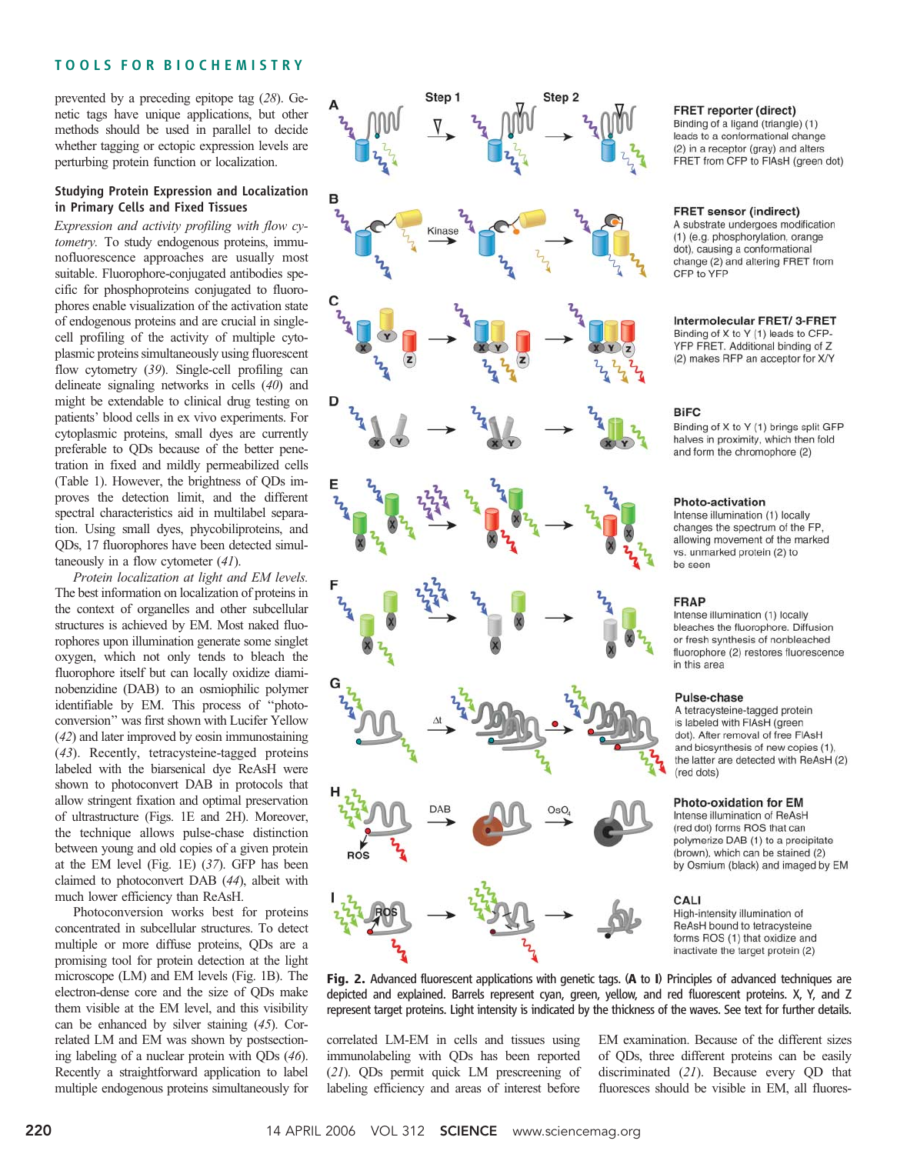prevented by a preceding epitope tag (28). Genetic tags have unique applications, but other methods should be used in parallel to decide whether tagging or ectopic expression levels are perturbing protein function or localization.

# Studying Protein Expression and Localization in Primary Cells and Fixed Tissues

Expression and activity profiling with flow cytometry. To study endogenous proteins, immunofluorescence approaches are usually most suitable. Fluorophore-conjugated antibodies specific for phosphoproteins conjugated to fluorophores enable visualization of the activation state of endogenous proteins and are crucial in singlecell profiling of the activity of multiple cytoplasmic proteins simultaneously using fluorescent flow cytometry (39). Single-cell profiling can delineate signaling networks in cells (40) and might be extendable to clinical drug testing on patients' blood cells in ex vivo experiments. For cytoplasmic proteins, small dyes are currently preferable to QDs because of the better penetration in fixed and mildly permeabilized cells (Table 1). However, the brightness of QDs improves the detection limit, and the different spectral characteristics aid in multilabel separation. Using small dyes, phycobiliproteins, and QDs, 17 fluorophores have been detected simultaneously in a flow cytometer (41).

Protein localization at light and EM levels. The best information on localization of proteins in the context of organelles and other subcellular structures is achieved by EM. Most naked fluorophores upon illumination generate some singlet oxygen, which not only tends to bleach the fluorophore itself but can locally oxidize diaminobenzidine (DAB) to an osmiophilic polymer identifiable by EM. This process of ''photoconversion'' was first shown with Lucifer Yellow (42) and later improved by eosin immunostaining (43). Recently, tetracysteine-tagged proteins labeled with the biarsenical dye ReAsH were shown to photoconvert DAB in protocols that allow stringent fixation and optimal preservation of ultrastructure (Figs. 1E and 2H). Moreover, the technique allows pulse-chase distinction between young and old copies of a given protein at the EM level (Fig. 1E) (37). GFP has been claimed to photoconvert DAB (44), albeit with much lower efficiency than ReAsH.

Photoconversion works best for proteins concentrated in subcellular structures. To detect multiple or more diffuse proteins, QDs are a promising tool for protein detection at the light microscope (LM) and EM levels (Fig. 1B). The electron-dense core and the size of QDs make them visible at the EM level, and this visibility can be enhanced by silver staining (45). Correlated LM and EM was shown by postsectioning labeling of a nuclear protein with QDs (46). Recently a straightforward application to label multiple endogenous proteins simultaneously for



## **FRET reporter (direct)**

Binding of a ligand (triangle) (1) leads to a conformational change (2) in a receptor (gray) and alters FRET from CFP to FIAsH (green dot)

#### **FRET sensor (indirect)**

A substrate undergoes modification (1) (e.g. phosphorylation, orange dot), causing a conformational change (2) and altering FRET from CFP to YFP

#### Intermolecular FRET/3-FRET

Binding of X to Y (1) leads to CFP-YFP FRET. Additional binding of Z (2) makes RFP an acceptor for X/Y

## **BiFC**

Binding of X to Y (1) brings split GFP halves in proximity, which then fold and form the chromophore (2)

#### Photo-activation

Intense illumination (1) locally changes the spectrum of the FP, allowing movement of the marked vs. unmarked protein (2) to be seen

#### **FRAP**

Intense illumination (1) locally bleaches the fluorophore. Diffusion or fresh synthesis of nonbleached fluorophore (2) restores fluorescence in this area

#### Pulse-chase

A tetracysteine-tagged protein is labeled with FIAsH (green dot). After removal of free FIAsH and biosynthesis of new copies (1), the latter are detected with ReAsH (2) (red dots)

#### **Photo-oxidation for EM**

Intense illumination of ReAsH (red dot) forms ROS that can polymerize DAB (1) to a precipitate (brown), which can be stained (2) by Osmium (black) and imaged by EM

#### CALI

High-intensity illumination of ReAsH bound to tetracysteine forms ROS (1) that oxidize and inactivate the target protein (2)

Fig. 2. Advanced fluorescent applications with genetic tags. (A to I) Principles of advanced techniques are depicted and explained. Barrels represent cyan, green, yellow, and red fluorescent proteins. X, Y, and Z represent target proteins. Light intensity is indicated by the thickness of the waves. See text for further details.

correlated LM-EM in cells and tissues using immunolabeling with QDs has been reported (21). QDs permit quick LM prescreening of labeling efficiency and areas of interest before EM examination. Because of the different sizes of QDs, three different proteins can be easily discriminated (21). Because every QD that fluoresces should be visible in EM, all fluores-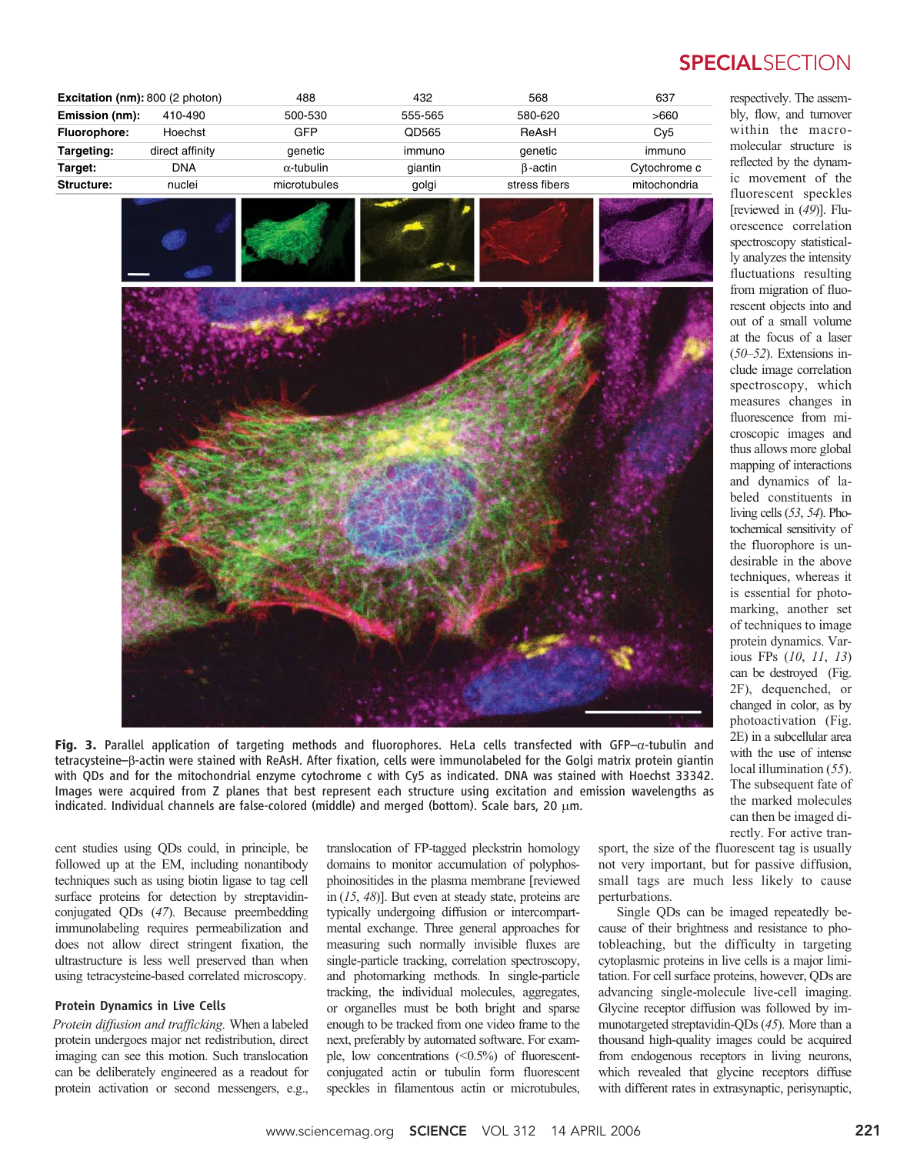# **SPECIAL** SECTION

respectively. The assem-

| Excitation (nm): 800 (2 photon) |                 | 488               | 432     | 568            | 637          |
|---------------------------------|-----------------|-------------------|---------|----------------|--------------|
| Emission (nm):                  | 410-490         | 500-530           | 555-565 | 580-620        | >660         |
| Fluorophore:                    | Hoechst         | <b>GFP</b>        | QD565   | ReAsH          | Cy5          |
| Targeting:                      | direct affinity | genetic           | immuno  | genetic        | immuno       |
| Target:                         | <b>DNA</b>      | $\alpha$ -tubulin | giantin | $\beta$ -actin | Cytochrome c |
| Structure:                      | nuclei          | microtubules      | golgi   | stress fibers  | mitochondria |
|                                 |                 |                   |         |                |              |
|                                 |                 |                   |         |                |              |
|                                 |                 |                   |         |                |              |
|                                 |                 |                   |         |                |              |
|                                 |                 |                   |         |                |              |
|                                 |                 |                   |         |                |              |
|                                 |                 |                   |         |                |              |

Fig. 3. Parallel application of targeting methods and fluorophores. HeLa cells transfected with GFP– $\alpha$ -tubulin and tetracysteine–b-actin were stained with ReAsH. After fixation, cells were immunolabeled for the Golgi matrix protein giantin with QDs and for the mitochondrial enzyme cytochrome c with Cy5 as indicated. DNA was stained with Hoechst 33342. Images were acquired from Z planes that best represent each structure using excitation and emission wavelengths as indicated. Individual channels are false-colored (middle) and merged (bottom). Scale bars, 20  $\mu$ m.

bly, flow, and turnover within the macromolecular structure is reflected by the dynamic movement of the fluorescent speckles [reviewed in (49)]. Fluorescence correlation spectroscopy statistically analyzes the intensity fluctuations resulting from migration of fluorescent objects into and out of a small volume at the focus of a laser (50–52). Extensions include image correlation spectroscopy, which measures changes in fluorescence from microscopic images and thus allows more global mapping of interactions and dynamics of labeled constituents in living cells (53, 54). Photochemical sensitivity of the fluorophore is undesirable in the above techniques, whereas it is essential for photomarking, another set of techniques to image protein dynamics. Various FPs (10, 11, 13) can be destroyed (Fig. 2F), dequenched, or changed in color, as by photoactivation (Fig. 2E) in a subcellular area with the use of intense local illumination (55). The subsequent fate of the marked molecules can then be imaged directly. For active tran-

cent studies using QDs could, in principle, be followed up at the EM, including nonantibody techniques such as using biotin ligase to tag cell surface proteins for detection by streptavidinconjugated QDs (47). Because preembedding immunolabeling requires permeabilization and does not allow direct stringent fixation, the ultrastructure is less well preserved than when using tetracysteine-based correlated microscopy.

# Protein Dynamics in Live Cells

Protein diffusion and trafficking. When a labeled protein undergoes major net redistribution, direct imaging can see this motion. Such translocation can be deliberately engineered as a readout for protein activation or second messengers, e.g.,

translocation of FP-tagged pleckstrin homology domains to monitor accumulation of polyphosphoinositides in the plasma membrane [reviewed in  $(15, 48)$ ]. But even at steady state, proteins are typically undergoing diffusion or intercompartmental exchange. Three general approaches for measuring such normally invisible fluxes are single-particle tracking, correlation spectroscopy, and photomarking methods. In single-particle tracking, the individual molecules, aggregates, or organelles must be both bright and sparse enough to be tracked from one video frame to the next, preferably by automated software. For example, low concentrations  $(<0.5\%)$  of fluorescentconjugated actin or tubulin form fluorescent speckles in filamentous actin or microtubules,

sport, the size of the fluorescent tag is usually not very important, but for passive diffusion, small tags are much less likely to cause perturbations.

Single QDs can be imaged repeatedly because of their brightness and resistance to photobleaching, but the difficulty in targeting cytoplasmic proteins in live cells is a major limitation. For cell surface proteins, however, QDs are advancing single-molecule live-cell imaging. Glycine receptor diffusion was followed by immunotargeted streptavidin-QDs (45). More than a thousand high-quality images could be acquired from endogenous receptors in living neurons, which revealed that glycine receptors diffuse with different rates in extrasynaptic, perisynaptic,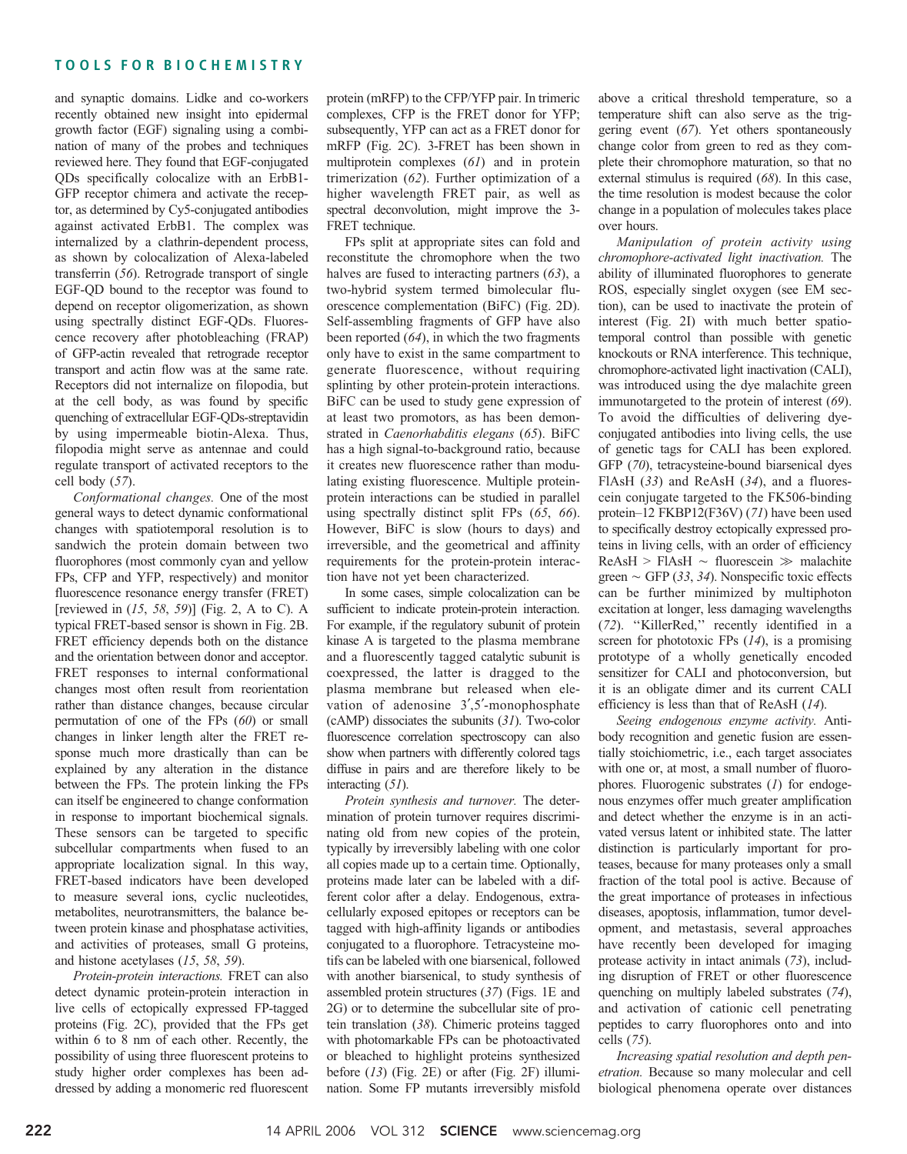and synaptic domains. Lidke and co-workers recently obtained new insight into epidermal growth factor (EGF) signaling using a combination of many of the probes and techniques reviewed here. They found that EGF-conjugated QDs specifically colocalize with an ErbB1- GFP receptor chimera and activate the receptor, as determined by Cy5-conjugated antibodies against activated ErbB1. The complex was internalized by a clathrin-dependent process, as shown by colocalization of Alexa-labeled transferrin (56). Retrograde transport of single EGF-QD bound to the receptor was found to depend on receptor oligomerization, as shown using spectrally distinct EGF-QDs. Fluorescence recovery after photobleaching (FRAP) of GFP-actin revealed that retrograde receptor transport and actin flow was at the same rate. Receptors did not internalize on filopodia, but at the cell body, as was found by specific quenching of extracellular EGF-QDs-streptavidin by using impermeable biotin-Alexa. Thus, filopodia might serve as antennae and could regulate transport of activated receptors to the cell body (57).

Conformational changes. One of the most general ways to detect dynamic conformational changes with spatiotemporal resolution is to sandwich the protein domain between two fluorophores (most commonly cyan and yellow FPs, CFP and YFP, respectively) and monitor fluorescence resonance energy transfer (FRET) [reviewed in  $(15, 58, 59)$ ] (Fig. 2, A to C). A typical FRET-based sensor is shown in Fig. 2B. FRET efficiency depends both on the distance and the orientation between donor and acceptor. FRET responses to internal conformational changes most often result from reorientation rather than distance changes, because circular permutation of one of the FPs (60) or small changes in linker length alter the FRET response much more drastically than can be explained by any alteration in the distance between the FPs. The protein linking the FPs can itself be engineered to change conformation in response to important biochemical signals. These sensors can be targeted to specific subcellular compartments when fused to an appropriate localization signal. In this way, FRET-based indicators have been developed to measure several ions, cyclic nucleotides, metabolites, neurotransmitters, the balance between protein kinase and phosphatase activities, and activities of proteases, small G proteins, and histone acetylases (15, 58, 59).

Protein-protein interactions. FRET can also detect dynamic protein-protein interaction in live cells of ectopically expressed FP-tagged proteins (Fig. 2C), provided that the FPs get within 6 to 8 nm of each other. Recently, the possibility of using three fluorescent proteins to study higher order complexes has been addressed by adding a monomeric red fluorescent

protein (mRFP) to the CFP/YFP pair. In trimeric complexes, CFP is the FRET donor for YFP; subsequently, YFP can act as a FRET donor for mRFP (Fig. 2C). 3-FRET has been shown in multiprotein complexes (61) and in protein trimerization (62). Further optimization of a higher wavelength FRET pair, as well as spectral deconvolution, might improve the 3- FRET technique.

FPs split at appropriate sites can fold and reconstitute the chromophore when the two halves are fused to interacting partners (63), a two-hybrid system termed bimolecular fluorescence complementation (BiFC) (Fig. 2D). Self-assembling fragments of GFP have also been reported (64), in which the two fragments only have to exist in the same compartment to generate fluorescence, without requiring splinting by other protein-protein interactions. BiFC can be used to study gene expression of at least two promotors, as has been demonstrated in Caenorhabditis elegans (65). BiFC has a high signal-to-background ratio, because it creates new fluorescence rather than modulating existing fluorescence. Multiple proteinprotein interactions can be studied in parallel using spectrally distinct split FPs (65, 66). However, BiFC is slow (hours to days) and irreversible, and the geometrical and affinity requirements for the protein-protein interaction have not yet been characterized.

In some cases, simple colocalization can be sufficient to indicate protein-protein interaction. For example, if the regulatory subunit of protein kinase A is targeted to the plasma membrane and a fluorescently tagged catalytic subunit is coexpressed, the latter is dragged to the plasma membrane but released when elevation of adenosine  $3', 5'$ -monophosphate (cAMP) dissociates the subunits (31). Two-color fluorescence correlation spectroscopy can also show when partners with differently colored tags diffuse in pairs and are therefore likely to be interacting (51).

Protein synthesis and turnover. The determination of protein turnover requires discriminating old from new copies of the protein, typically by irreversibly labeling with one color all copies made up to a certain time. Optionally, proteins made later can be labeled with a different color after a delay. Endogenous, extracellularly exposed epitopes or receptors can be tagged with high-affinity ligands or antibodies conjugated to a fluorophore. Tetracysteine motifs can be labeled with one biarsenical, followed with another biarsenical, to study synthesis of assembled protein structures (37) (Figs. 1E and 2G) or to determine the subcellular site of protein translation (38). Chimeric proteins tagged with photomarkable FPs can be photoactivated or bleached to highlight proteins synthesized before  $(13)$  (Fig. 2E) or after (Fig. 2F) illumination. Some FP mutants irreversibly misfold

above a critical threshold temperature, so a temperature shift can also serve as the triggering event (67). Yet others spontaneously change color from green to red as they complete their chromophore maturation, so that no external stimulus is required  $(68)$ . In this case, the time resolution is modest because the color change in a population of molecules takes place over hours.

Manipulation of protein activity using chromophore-activated light inactivation. The ability of illuminated fluorophores to generate ROS, especially singlet oxygen (see EM section), can be used to inactivate the protein of interest (Fig. 2I) with much better spatiotemporal control than possible with genetic knockouts or RNA interference. This technique, chromophore-activated light inactivation (CALI), was introduced using the dye malachite green immunotargeted to the protein of interest (69). To avoid the difficulties of delivering dyeconjugated antibodies into living cells, the use of genetic tags for CALI has been explored. GFP (70), tetracysteine-bound biarsenical dyes FlAsH (33) and ReAsH (34), and a fluorescein conjugate targeted to the FK506-binding protein–12 FKBP12(F36V) (71) have been used to specifically destroy ectopically expressed proteins in living cells, with an order of efficiency  $ReAsH > FlAsH \sim$  fluorescein  $\gg$  malachite green  $\sim$  GFP (33, 34). Nonspecific toxic effects can be further minimized by multiphoton excitation at longer, less damaging wavelengths (72). ''KillerRed,'' recently identified in a screen for phototoxic FPs  $(14)$ , is a promising prototype of a wholly genetically encoded sensitizer for CALI and photoconversion, but it is an obligate dimer and its current CALI efficiency is less than that of ReAsH (14).

Seeing endogenous enzyme activity. Antibody recognition and genetic fusion are essentially stoichiometric, i.e., each target associates with one or, at most, a small number of fluorophores. Fluorogenic substrates (1) for endogenous enzymes offer much greater amplification and detect whether the enzyme is in an activated versus latent or inhibited state. The latter distinction is particularly important for proteases, because for many proteases only a small fraction of the total pool is active. Because of the great importance of proteases in infectious diseases, apoptosis, inflammation, tumor development, and metastasis, several approaches have recently been developed for imaging protease activity in intact animals (73), including disruption of FRET or other fluorescence quenching on multiply labeled substrates (74), and activation of cationic cell penetrating peptides to carry fluorophores onto and into cells (75).

Increasing spatial resolution and depth penetration. Because so many molecular and cell biological phenomena operate over distances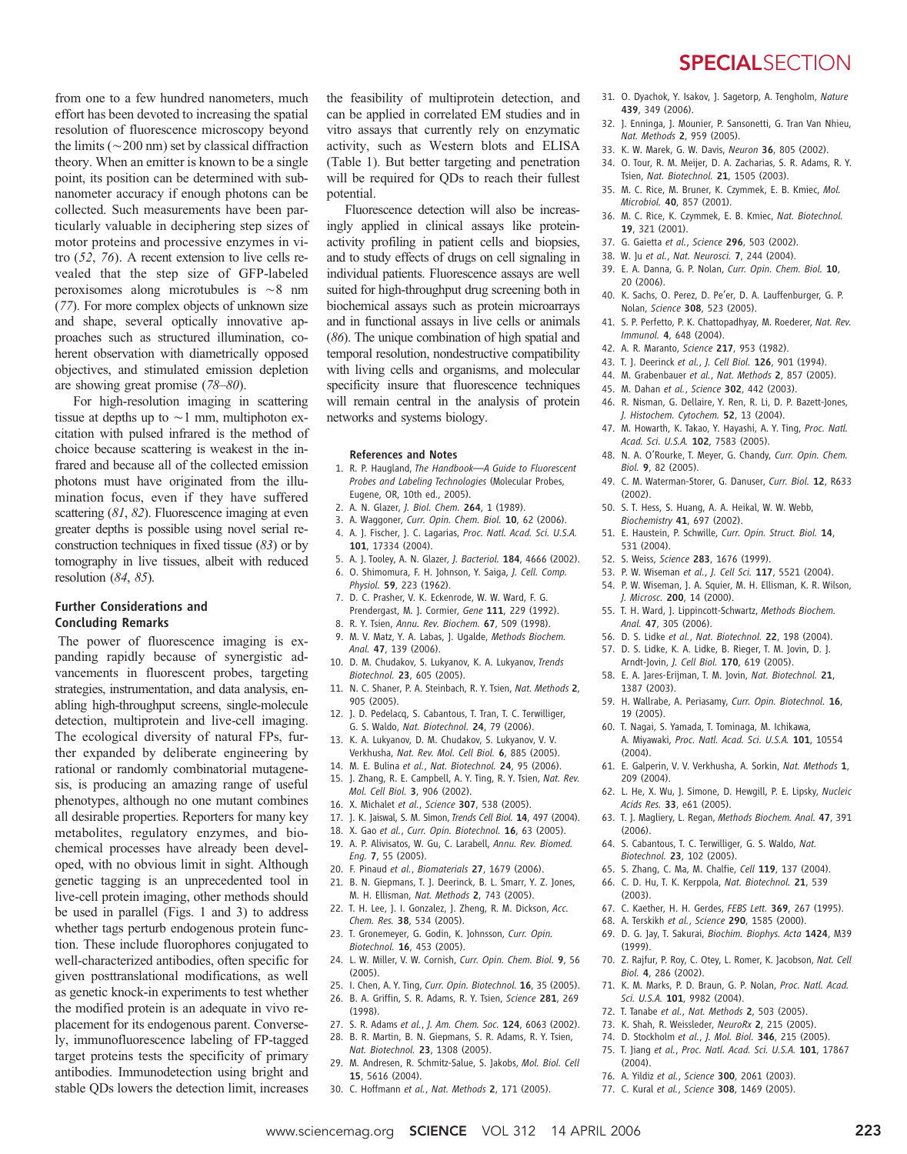from one to a few hundred nanometers, much effort has been devoted to increasing the spatial resolution of fluorescence microscopy beyond the limits ( $\sim$ 200 nm) set by classical diffraction theory. When an emitter is known to be a single point, its position can be determined with subnanometer accuracy if enough photons can be collected. Such measurements have been particularly valuable in deciphering step sizes of motor proteins and processive enzymes in vitro (52, 76). A recent extension to live cells revealed that the step size of GFP-labeled peroxisomes along microtubules is  $\sim$ 8 nm (77). For more complex objects of unknown size and shape, several optically innovative approaches such as structured illumination, coherent observation with diametrically opposed objectives, and stimulated emission depletion are showing great promise (78–80).

For high-resolution imaging in scattering tissue at depths up to  $\sim$  1 mm, multiphoton excitation with pulsed infrared is the method of choice because scattering is weakest in the infrared and because all of the collected emission photons must have originated from the illumination focus, even if they have suffered scattering  $(81, 82)$ . Fluorescence imaging at even greater depths is possible using novel serial reconstruction techniques in fixed tissue  $(83)$  or by tomography in live tissues, albeit with reduced resolution (84, 85).

## Further Considerations and Concluding Remarks

The power of fluorescence imaging is expanding rapidly because of synergistic advancements in fluorescent probes, targeting strategies, instrumentation, and data analysis, enabling high-throughput screens, single-molecule detection, multiprotein and live-cell imaging. The ecological diversity of natural FPs, further expanded by deliberate engineering by rational or randomly combinatorial mutagenesis, is producing an amazing range of useful phenotypes, although no one mutant combines all desirable properties. Reporters for many key metabolites, regulatory enzymes, and biochemical processes have already been developed, with no obvious limit in sight. Although genetic tagging is an unprecedented tool in live-cell protein imaging, other methods should be used in parallel (Figs. 1 and 3) to address whether tags perturb endogenous protein function. These include fluorophores conjugated to well-characterized antibodies, often specific for given posttranslational modifications, as well as genetic knock-in experiments to test whether the modified protein is an adequate in vivo replacement for its endogenous parent. Conversely, immunofluorescence labeling of FP-tagged target proteins tests the specificity of primary antibodies. Immunodetection using bright and stable QDs lowers the detection limit, increases

the feasibility of multiprotein detection, and can be applied in correlated EM studies and in vitro assays that currently rely on enzymatic activity, such as Western blots and ELISA (Table 1). But better targeting and penetration will be required for QDs to reach their fullest potential.

Fluorescence detection will also be increasingly applied in clinical assays like proteinactivity profiling in patient cells and biopsies, and to study effects of drugs on cell signaling in individual patients. Fluorescence assays are well suited for high-throughput drug screening both in biochemical assays such as protein microarrays and in functional assays in live cells or animals (86). The unique combination of high spatial and temporal resolution, nondestructive compatibility with living cells and organisms, and molecular specificity insure that fluorescence techniques will remain central in the analysis of protein networks and systems biology.

#### References and Notes

- 1. R. P. Haugland, The Handbook—A Guide to Fluorescent Probes and Labeling Technologies (Molecular Probes, Eugene, OR, 10th ed., 2005).
- 2. A. N. Glazer, J. Biol. Chem. 264, 1 (1989).
- 3. A. Waggoner, Curr. Opin. Chem. Biol. 10, 62 (2006).
- 4. A. J. Fischer, J. C. Lagarias, Proc. Natl. Acad. Sci. U.S.A. 101, 17334 (2004).
- 5. A. J. Tooley, A. N. Glazer, J. Bacteriol. 184, 4666 (2002). 6. O. Shimomura, F. H. Johnson, Y. Saiga, J. Cell. Comp.
- Physiol. 59, 223 (1962).
- 7. D. C. Prasher, V. K. Eckenrode, W. W. Ward, F. G. Prendergast, M. J. Cormier, Gene 111, 229 (1992).
- 8. R. Y. Tsien, Annu. Rev. Biochem. 67, 509 (1998).
- 9. M. V. Matz, Y. A. Labas, J. Ugalde, Methods Biochem. Anal. 47, 139 (2006).
- 10. D. M. Chudakov, S. Lukyanov, K. A. Lukyanov, Trends Biotechnol. 23, 605 (2005).
- 11. N. C. Shaner, P. A. Steinbach, R. Y. Tsien, Nat. Methods 2, 905 (2005).
- 12. J. D. Pedelacq, S. Cabantous, T. Tran, T. C. Terwilliger, G. S. Waldo, Nat. Biotechnol. 24, 79 (2006).
- 13. K. A. Lukyanov, D. M. Chudakov, S. Lukyanov, V. V. Verkhusha, Nat. Rev. Mol. Cell Biol. 6, 885 (2005).
- 14. M. E. Bulina et al., Nat. Biotechnol. 24, 95 (2006). 15. J. Zhang, R. E. Campbell, A. Y. Ting, R. Y. Tsien, Nat. Rev. Mol. Cell Biol. 3, 906 (2002).
- 16. X. Michalet et al., Science 307, 538 (2005).
- 17. J. K. Jaiswal, S. M. Simon, Trends Cell Biol. 14, 497 (2004).
- 18. X. Gao et al., Curr. Opin. Biotechnol. 16, 63 (2005).
- 19. A. P. Alivisatos, W. Gu, C. Larabell, Annu. Rev. Biomed. Eng. 7, 55 (2005).
- 20. F. Pinaud et al., Biomaterials 27, 1679 (2006).
- 21. B. N. Giepmans, T. J. Deerinck, B. L. Smarr, Y. Z. Jones, M. H. Ellisman, Nat. Methods 2, 743 (2005).
- 22. T. H. Lee, J. I. Gonzalez, J. Zheng, R. M. Dickson, Acc. Chem. Res. 38, 534 (2005).
- 23. T. Gronemeyer, G. Godin, K. Johnsson, Curr. Opin. Biotechnol. 16, 453 (2005).
- 24. L. W. Miller, V. W. Cornish, Curr. Opin. Chem. Biol. 9, 56 (2005).
- 25. I. Chen, A. Y. Ting, Curr. Opin. Biotechnol. 16, 35 (2005). 26. B. A. Griffin, S. R. Adams, R. Y. Tsien, Science 281, 269
- (1998).
- 27. S. R. Adams et al., J. Am. Chem. Soc. 124, 6063 (2002). 28. B. R. Martin, B. N. Giepmans, S. R. Adams, R. Y. Tsien,
- Nat. Biotechnol. 23, 1308 (2005).
- 29. M. Andresen, R. Schmitz-Salue, S. Jakobs, Mol. Biol. Cell 15, 5616 (2004).
- 30. C. Hoffmann et al., Nat. Methods 2, 171 (2005).

# **SPECIAL**SECTION

- 31. O. Dyachok, Y. Isakov, J. Sagetorp, A. Tengholm, Nature 439, 349 (2006).
- 32. J. Enninga, J. Mounier, P. Sansonetti, G. Tran Van Nhieu, Nat. Methods 2, 959 (2005).
- 33. K. W. Marek, G. W. Davis, Neuron 36, 805 (2002).
- 34. O. Tour, R. M. Meijer, D. A. Zacharias, S. R. Adams, R. Y. Tsien, Nat. Biotechnol. 21, 1505 (2003).
- 35. M. C. Rice, M. Bruner, K. Czymmek, E. B. Kmiec, Mol. Microbiol. 40, 857 (2001).
- 36. M. C. Rice, K. Czymmek, E. B. Kmiec, Nat. Biotechnol. 19, 321 (2001).
- 37. G. Gaietta et al., Science 296, 503 (2002).
- 38. W. Ju et al., Nat. Neurosci. 7, 244 (2004).
- 39. E. A. Danna, G. P. Nolan, Curr. Opin. Chem. Biol. 10, 20 (2006).
- 40. K. Sachs, O. Perez, D. Pe'er, D. A. Lauffenburger, G. P. Nolan, Science 308, 523 (2005).
- 41. S. P. Perfetto, P. K. Chattopadhyay, M. Roederer, Nat. Rev. Immunol. 4, 648 (2004).
- 42. A. R. Maranto, Science 217, 953 (1982).
- 43. T. J. Deerinck et al., J. Cell Biol. 126, 901 (1994).
- 44. M. Grabenbauer et al., Nat. Methods 2, 857 (2005).
- 45. M. Dahan et al., Science 302, 442 (2003).
- 46. R. Nisman, G. Dellaire, Y. Ren, R. Li, D. P. Bazett-Jones, J. Histochem. Cytochem. 52, 13 (2004).
- 47. M. Howarth, K. Takao, Y. Hayashi, A. Y. Ting, Proc. Natl. Acad. Sci. U.S.A. 102, 7583 (2005).
- 48. N. A. O'Rourke, T. Meyer, G. Chandy, Curr. Opin. Chem. Biol. 9, 82 (2005).
- 49. C. M. Waterman-Storer, G. Danuser, Curr. Biol. 12, R633  $(2002)$
- 50. S. T. Hess, S. Huang, A. A. Heikal, W. W. Webb, Biochemistry 41, 697 (2002).
- 51. E. Haustein, P. Schwille, Curr. Opin. Struct. Biol. 14, 531 (2004).
- 52. S. Weiss, Science 283, 1676 (1999).
- 53. P. W. Wiseman et al., J. Cell Sci. 117, 5521 (2004). 54. P. W. Wiseman, J. A. Squier, M. H. Ellisman, K. R. Wilson,
	- J. Microsc. 200, 14 (2000).
- 55. T. H. Ward, J. Lippincott-Schwartz, Methods Biochem. Anal. 47, 305 (2006).
- 56. D. S. Lidke et al., Nat. Biotechnol. 22, 198 (2004).
- 57. D. S. Lidke, K. A. Lidke, B. Rieger, T. M. Jovin, D. J. Arndt-Jovin, J. Cell Biol. 170, 619 (2005).
- 58. E. A. Jares-Erijman, T. M. Jovin, Nat. Biotechnol. 21, 1387 (2003).
- 59. H. Wallrabe, A. Periasamy, Curr. Opin. Biotechnol. 16, 19 (2005).
- 60. T. Nagai, S. Yamada, T. Tominaga, M. Ichikawa, A. Miyawaki, Proc. Natl. Acad. Sci. U.S.A. 101, 10554 (2004).
- 61. E. Galperin, V. V. Verkhusha, A. Sorkin, Nat. Methods 1, 209 (2004).
- 62. L. He, X. Wu, J. Simone, D. Hewgill, P. E. Lipsky, Nucleic Acids Res. 33, e61 (2005).
- 63. T. J. Magliery, L. Regan, Methods Biochem. Anal. 47, 391 (2006).
- 64. S. Cabantous, T. C. Terwilliger, G. S. Waldo, Nat. Biotechnol. 23, 102 (2005).
- 65. S. Zhang, C. Ma, M. Chalfie, Cell 119, 137 (2004).
- 66. C. D. Hu, T. K. Kerppola, Nat. Biotechnol. 21, 539 (2003).
- 67. C. Kaether, H. H. Gerdes, FEBS Lett. 369, 267 (1995).
- 68. A. Terskikh et al., Science 290, 1585 (2000).
- 69. D. G. Jay, T. Sakurai, Biochim. Biophys. Acta 1424, M39 (1999).
- 70. Z. Rajfur, P. Roy, C. Otey, L. Romer, K. Jacobson, Nat. Cell Biol. 4, 286 (2002).
- 71. K. M. Marks, P. D. Braun, G. P. Nolan, Proc. Natl. Acad. Sci. U.S.A. 101, 9982 (2004).
- 72. T. Tanabe et al., Nat. Methods 2, 503 (2005).
- 73. K. Shah, R. Weissleder, NeuroRx 2, 215 (2005).
- 74. D. Stockholm et al., J. Mol. Biol. 346, 215 (2005).
- 75. T. Jiang et al., Proc. Natl. Acad. Sci. U.S.A. 101, 17867  $(2004)$
- 76. A. Yildiz et al., Science 300, 2061 (2003).
- 77. C. Kural et al., Science 308, 1469 (2005).